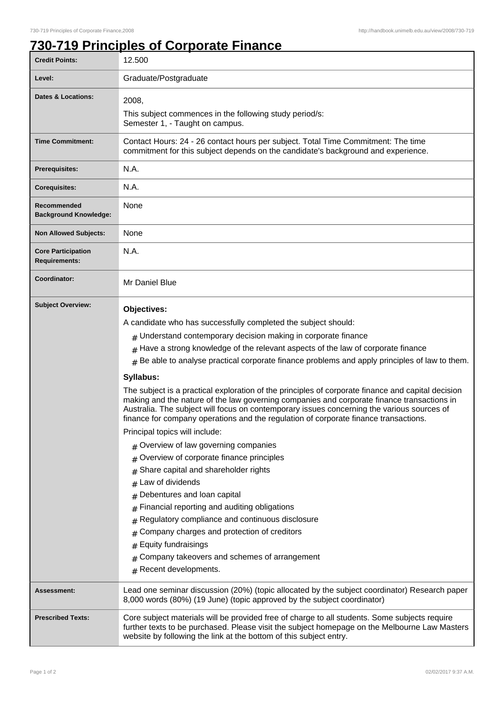1

## **730-719 Principles of Corporate Finance**

| <b>Credit Points:</b>                             | 12.500                                                                                                                                                                                                                                                                                                                                                                                 |
|---------------------------------------------------|----------------------------------------------------------------------------------------------------------------------------------------------------------------------------------------------------------------------------------------------------------------------------------------------------------------------------------------------------------------------------------------|
| Level:                                            | Graduate/Postgraduate                                                                                                                                                                                                                                                                                                                                                                  |
| <b>Dates &amp; Locations:</b>                     | 2008,                                                                                                                                                                                                                                                                                                                                                                                  |
|                                                   | This subject commences in the following study period/s:                                                                                                                                                                                                                                                                                                                                |
|                                                   | Semester 1, - Taught on campus.                                                                                                                                                                                                                                                                                                                                                        |
| <b>Time Commitment:</b>                           | Contact Hours: 24 - 26 contact hours per subject. Total Time Commitment: The time<br>commitment for this subject depends on the candidate's background and experience.                                                                                                                                                                                                                 |
| <b>Prerequisites:</b>                             | N.A.                                                                                                                                                                                                                                                                                                                                                                                   |
| <b>Corequisites:</b>                              | N.A.                                                                                                                                                                                                                                                                                                                                                                                   |
| Recommended<br><b>Background Knowledge:</b>       | None                                                                                                                                                                                                                                                                                                                                                                                   |
| <b>Non Allowed Subjects:</b>                      | None                                                                                                                                                                                                                                                                                                                                                                                   |
| <b>Core Participation</b><br><b>Requirements:</b> | N.A.                                                                                                                                                                                                                                                                                                                                                                                   |
| Coordinator:                                      | Mr Daniel Blue                                                                                                                                                                                                                                                                                                                                                                         |
| <b>Subject Overview:</b>                          | Objectives:                                                                                                                                                                                                                                                                                                                                                                            |
|                                                   | A candidate who has successfully completed the subject should:                                                                                                                                                                                                                                                                                                                         |
|                                                   | $#$ Understand contemporary decision making in corporate finance                                                                                                                                                                                                                                                                                                                       |
|                                                   | $#$ Have a strong knowledge of the relevant aspects of the law of corporate finance                                                                                                                                                                                                                                                                                                    |
|                                                   | $#$ Be able to analyse practical corporate finance problems and apply principles of law to them.                                                                                                                                                                                                                                                                                       |
|                                                   | Syllabus:                                                                                                                                                                                                                                                                                                                                                                              |
|                                                   | The subject is a practical exploration of the principles of corporate finance and capital decision<br>making and the nature of the law governing companies and corporate finance transactions in<br>Australia. The subject will focus on contemporary issues concerning the various sources of<br>finance for company operations and the regulation of corporate finance transactions. |
|                                                   | Principal topics will include:                                                                                                                                                                                                                                                                                                                                                         |
|                                                   | Overview of law governing companies<br>#                                                                                                                                                                                                                                                                                                                                               |
|                                                   | Overview of corporate finance principles<br>#                                                                                                                                                                                                                                                                                                                                          |
|                                                   | Share capital and shareholder rights<br>#                                                                                                                                                                                                                                                                                                                                              |
|                                                   | Law of dividends                                                                                                                                                                                                                                                                                                                                                                       |
|                                                   | Debentures and loan capital<br>#                                                                                                                                                                                                                                                                                                                                                       |
|                                                   | Financial reporting and auditing obligations<br>#                                                                                                                                                                                                                                                                                                                                      |
|                                                   | Regulatory compliance and continuous disclosure<br>#                                                                                                                                                                                                                                                                                                                                   |
|                                                   | Company charges and protection of creditors<br>#                                                                                                                                                                                                                                                                                                                                       |
|                                                   | Equity fundraisings<br>#                                                                                                                                                                                                                                                                                                                                                               |
|                                                   | Company takeovers and schemes of arrangement<br>#<br>Recent developments.                                                                                                                                                                                                                                                                                                              |
|                                                   | #                                                                                                                                                                                                                                                                                                                                                                                      |
| Assessment:                                       | Lead one seminar discussion (20%) (topic allocated by the subject coordinator) Research paper<br>8,000 words (80%) (19 June) (topic approved by the subject coordinator)                                                                                                                                                                                                               |
| <b>Prescribed Texts:</b>                          | Core subject materials will be provided free of charge to all students. Some subjects require<br>further texts to be purchased. Please visit the subject homepage on the Melbourne Law Masters<br>website by following the link at the bottom of this subject entry.                                                                                                                   |